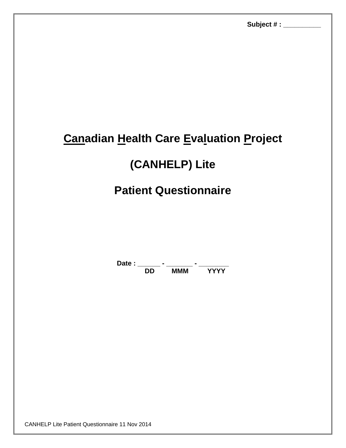# **Canadian Health Care Evaluation Project**

# **(CANHELP) Lite**

## **Patient Questionnaire**

Date : \_\_\_\_\_\_\_ - \_\_\_\_\_\_\_\_ - \_\_\_\_\_\_\_\_\_\_ **DD MMM YYYY**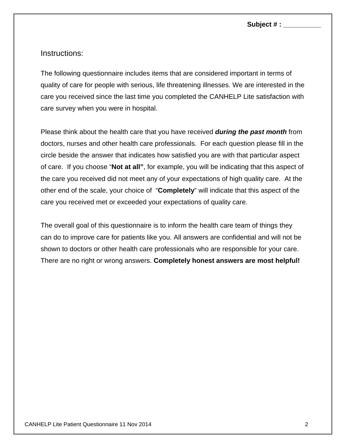**Subject # : \_\_\_\_\_\_\_\_\_\_** 

Instructions:

The following questionnaire includes items that are considered important in terms of quality of care for people with serious, life threatening illnesses. We are interested in the care you received since the last time you completed the CANHELP Lite satisfaction with care survey when you were in hospital.

Please think about the health care that you have received *during the past month* from doctors, nurses and other health care professionals. For each question please fill in the circle beside the answer that indicates how satisfied you are with that particular aspect of care. If you choose "**Not at all"**, for example, you will be indicating that this aspect of the care you received did not meet any of your expectations of high quality care. At the other end of the scale, your choice of "**Completely**" will indicate that this aspect of the care you received met or exceeded your expectations of quality care.

The overall goal of this questionnaire is to inform the health care team of things they can do to improve care for patients like you. All answers are confidential and will not be shown to doctors or other health care professionals who are responsible for your care. There are no right or wrong answers. **Completely honest answers are most helpful!**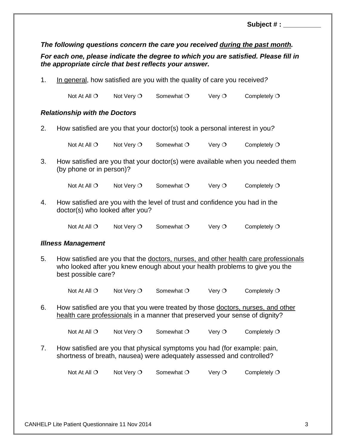|                                                                                                                 |                                                                                                                |                     |            |          | The following questions concern the care you received during the past month.        |  |  |
|-----------------------------------------------------------------------------------------------------------------|----------------------------------------------------------------------------------------------------------------|---------------------|------------|----------|-------------------------------------------------------------------------------------|--|--|
|                                                                                                                 | the appropriate circle that best reflects your answer.                                                         |                     |            |          | For each one, please indicate the degree to which you are satisfied. Please fill in |  |  |
| 1.                                                                                                              | In general, how satisfied are you with the quality of care you received?                                       |                     |            |          |                                                                                     |  |  |
|                                                                                                                 | Not At All $\bigcirc$                                                                                          | Not Very $\bigcirc$ | Somewhat O | Very $O$ | Completely $O$                                                                      |  |  |
|                                                                                                                 | <b>Relationship with the Doctors</b>                                                                           |                     |            |          |                                                                                     |  |  |
| 2.                                                                                                              | How satisfied are you that your doctor(s) took a personal interest in you?                                     |                     |            |          |                                                                                     |  |  |
|                                                                                                                 | Not At All $\bigcirc$                                                                                          | Not Very $O$        | Somewhat O | Very $O$ | Completely $O$                                                                      |  |  |
| 3.<br>How satisfied are you that your doctor(s) were available when you needed them<br>(by phone or in person)? |                                                                                                                |                     |            |          |                                                                                     |  |  |
|                                                                                                                 | Not At All $\bigcirc$                                                                                          | Not Very $O$        | Somewhat O | Very $O$ | Completely $O$                                                                      |  |  |
| 4.                                                                                                              | How satisfied are you with the level of trust and confidence you had in the<br>doctor(s) who looked after you? |                     |            |          |                                                                                     |  |  |
|                                                                                                                 | Not At All $\bigcirc$                                                                                          | Not Very $\bigcirc$ | Somewhat O | Very $O$ | Completely $O$                                                                      |  |  |
|                                                                                                                 | <b>Illness Management</b>                                                                                      |                     |            |          |                                                                                     |  |  |
| 5.                                                                                                              | How satisfied are you that the doctors, nurses, and other health care professionals                            |                     |            |          |                                                                                     |  |  |

who looked after you knew enough about your health problems to give you the best possible care?

Not At All  $O$  Not Very  $O$  Somewhat  $O$  Very  $O$  Completely  $O$ 

6. How satisfied are you that you were treated by those doctors, nurses, and other health care professionals in a manner that preserved your sense of dignity?

Not At All  $O$  Not Very  $O$  Somewhat  $O$  Very  $O$  Completely  $O$ 

7. How satisfied are you that physical symptoms you had (for example: pain, shortness of breath, nausea) were adequately assessed and controlled?

Not At All  $O$  Not Very  $O$  Somewhat  $O$  Very  $O$  Completely  $O$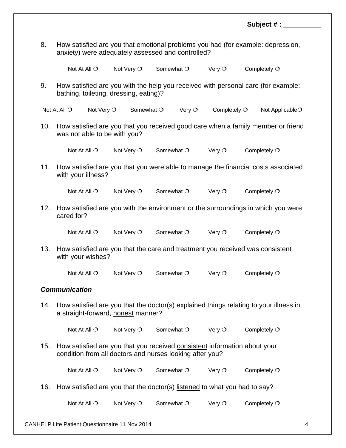|     |                                                                                                                                       |                     |              |                | Subject $#:$                                                                      |  |  |  |
|-----|---------------------------------------------------------------------------------------------------------------------------------------|---------------------|--------------|----------------|-----------------------------------------------------------------------------------|--|--|--|
| 8.  | How satisfied are you that emotional problems you had (for example: depression,<br>anxiety) were adequately assessed and controlled?  |                     |              |                |                                                                                   |  |  |  |
|     | Not At All $\bigcirc$                                                                                                                 | Not Very O          | Somewhat O   | Very $\circ$   | Completely $O$                                                                    |  |  |  |
| 9.  | bathing, toileting, dressing, eating)?                                                                                                |                     |              |                | How satisfied are you with the help you received with personal care (for example: |  |  |  |
|     | Not Very $\bigcirc$<br>Not At All $\bigcirc$                                                                                          | Somewhat O          | Very $\circ$ | Completely $O$ | Not Applicable <sup>O</sup>                                                       |  |  |  |
| 10. | How satisfied are you that you received good care when a family member or friend<br>was not able to be with you?                      |                     |              |                |                                                                                   |  |  |  |
|     | Not At All $\bigcirc$                                                                                                                 | Not Very O          | Somewhat O   | Very $O$       | Completely $O$                                                                    |  |  |  |
| 11. | How satisfied are you that you were able to manage the financial costs associated<br>with your illness?                               |                     |              |                |                                                                                   |  |  |  |
|     | Not At All $\bigcirc$                                                                                                                 | Not Very O          | Somewhat O   | Very $O$       | Completely $O$                                                                    |  |  |  |
| 12. | cared for?                                                                                                                            |                     |              |                | How satisfied are you with the environment or the surroundings in which you were  |  |  |  |
|     | Not At All $\bigcirc$                                                                                                                 | Not Very O          | Somewhat O   | Very $O$       | Completely $O$                                                                    |  |  |  |
| 13. | How satisfied are you that the care and treatment you received was consistent<br>with your wishes?                                    |                     |              |                |                                                                                   |  |  |  |
|     | Not At All O                                                                                                                          | Not Very $\bigcirc$ | Somewhat O   | Very $\circ$   | Completely O                                                                      |  |  |  |
|     | <b>Communication</b>                                                                                                                  |                     |              |                |                                                                                   |  |  |  |
| 14. | How satisfied are you that the doctor(s) explained things relating to your illness in<br>a straight-forward, honest manner?           |                     |              |                |                                                                                   |  |  |  |
|     | Not At All O                                                                                                                          | Not Very O          | Somewhat O   | Very $O$       | Completely $O$                                                                    |  |  |  |
| 15. | How satisfied are you that you received consistent information about your<br>condition from all doctors and nurses looking after you? |                     |              |                |                                                                                   |  |  |  |
|     | Not At All O                                                                                                                          | Not Very O          | Somewhat O   | Very $\circ$   | Completely $O$                                                                    |  |  |  |
| 16. | How satisfied are you that the doctor(s) listened to what you had to say?                                                             |                     |              |                |                                                                                   |  |  |  |
|     | Not At All O                                                                                                                          | Not Very O          | Somewhat O   | Very $O$       | Completely $O$                                                                    |  |  |  |